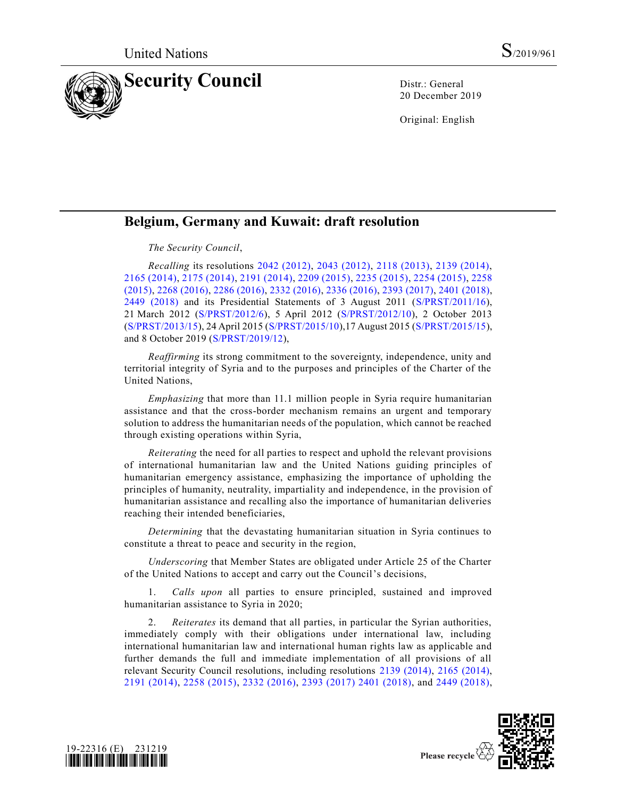

20 December 2019

Original: English

## **Belgium, Germany and Kuwait: draft resolution**

## *The Security Council*,

*Recalling* its resolutions [2042 \(2012\),](https://undocs.org/en/S/RES/2042%20(2012)) [2043 \(2012\),](https://undocs.org/en/S/RES/2043%20(2012)) [2118 \(2013\),](https://undocs.org/en/S/RES/2118%20(2013)) [2139 \(2014\),](https://undocs.org/en/S/RES/2139%20(2014)) [2165 \(2014\),](https://undocs.org/en/S/RES/2165%20(2014)) [2175 \(2014\),](https://undocs.org/en/S/RES/2175%20(2014)) [2191 \(2014\),](https://undocs.org/en/S/RES/2191%20(2014)) [2209 \(2015\),](https://undocs.org/en/S/RES/2209%20(2015)) [2235 \(2015\),](https://undocs.org/en/S/RES/2235%20(2015)) [2254 \(2015\),](https://undocs.org/en/S/RES/2254%20(2015)) [2258](https://undocs.org/en/S/RES/2258%20(2015))  [\(2015\),](https://undocs.org/en/S/RES/2258%20(2015)) [2268 \(2016\),](https://undocs.org/en/S/RES/2268%20(2016)) [2286 \(2016\),](https://undocs.org/en/S/RES/2286%20(2016)) [2332 \(2016\),](https://undocs.org/en/S/RES/2332%20(2016)) [2336 \(2016\),](https://undocs.org/en/S/RES/2336%20(2016)) [2393 \(2017\),](https://undocs.org/en/S/RES/2393%20(2017)) [2401 \(2018\),](https://undocs.org/en/S/RES/2401%20(2018)) [2449 \(2018\)](https://undocs.org/en/S/RES/2449%20(2018)) and its Presidential Statements of 3 August 2011 [\(S/PRST/2011/16\)](https://undocs.org/en/S/PRST/2011/16), 21 March 2012 [\(S/PRST/2012/6\)](https://undocs.org/en/S/PRST/2012/6), 5 April 2012 [\(S/PRST/2012/10\)](https://undocs.org/en/S/PRST/2012/10), 2 October 2013 [\(S/PRST/2013/15\)](https://undocs.org/en/S/PRST/2013/15), 24 April 2015 [\(S/PRST/2015/10\)](https://undocs.org/en/S/PRST/2015/10),17 August 2015 [\(S/PRST/2015/15\)](https://undocs.org/en/S/PRST/2015/15), and 8 October 2019 [\(S/PRST/2019/12\)](https://undocs.org/en/S/PRST/2019/12),

*Reaffirming* its strong commitment to the sovereignty, independence, unity and territorial integrity of Syria and to the purposes and principles of the Charter of the United Nations,

*Emphasizing* that more than 11.1 million people in Syria require humanitarian assistance and that the cross-border mechanism remains an urgent and temporary solution to address the humanitarian needs of the population, which cannot be reached through existing operations within Syria,

*Reiterating* the need for all parties to respect and uphold the relevant provisions of international humanitarian law and the United Nations guiding principles of humanitarian emergency assistance, emphasizing the importance of upholding the principles of humanity, neutrality, impartiality and independence, in the provision of humanitarian assistance and recalling also the importance of humanitarian deliveries reaching their intended beneficiaries,

*Determining* that the devastating humanitarian situation in Syria continues to constitute a threat to peace and security in the region,

*Underscoring* that Member States are obligated under Article 25 of the Charter of the United Nations to accept and carry out the Council's decisions,

1. *Calls upon* all parties to ensure principled, sustained and improved humanitarian assistance to Syria in 2020;

2. *Reiterates* its demand that all parties, in particular the Syrian authorities, immediately comply with their obligations under international law, including international humanitarian law and international human rights law as applicable and further demands the full and immediate implementation of all provisions of all relevant Security Council resolutions, including resolutions [2139 \(2014\),](https://undocs.org/en/S/RES/2139%20(2014)) [2165 \(2014\),](https://undocs.org/en/S/RES/2165%20(2014)) [2191 \(2014\),](https://undocs.org/en/S/RES/2191%20(2014)) [2258 \(2015\),](https://undocs.org/en/S/RES/2258%20(2015)) [2332 \(2016\),](https://undocs.org/en/S/RES/2332%20(2016)) [2393 \(2017\)](https://undocs.org/en/S/RES/2393%20(2017)) [2401 \(2018\),](https://undocs.org/en/S/RES/2401%20(2018)) and [2449 \(2018\),](https://undocs.org/en/S/RES/2449%20(2018))